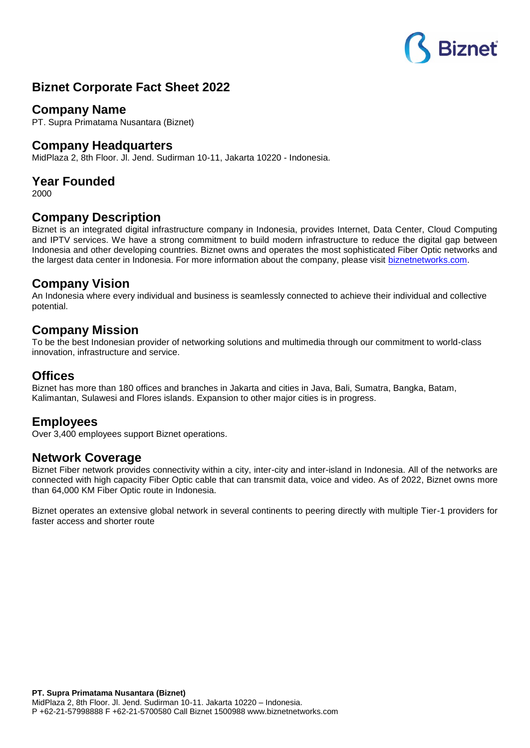# **Biznet**

## **Biznet Corporate Fact Sheet 2022**

#### **Company Name**

PT. Supra Primatama Nusantara (Biznet)

#### **Company Headquarters**

MidPlaza 2, 8th Floor. Jl. Jend. Sudirman 10-11, Jakarta 10220 - Indonesia.

## **Year Founded**

2000

#### **Company Description**

Biznet is an integrated digital infrastructure company in Indonesia, provides Internet, Data Center, Cloud Computing and IPTV services. We have a strong commitment to build modern infrastructure to reduce the digital gap between Indonesia and other developing countries. Biznet owns and operates the most sophisticated Fiber Optic networks and the largest data center in Indonesia. For more information about the company, please visit [biznetnetworks.com.](http://www.biznetnetworks.com/)

#### **Company Vision**

An Indonesia where every individual and business is seamlessly connected to achieve their individual and collective potential.

#### **Company Mission**

To be the best Indonesian provider of networking solutions and multimedia through our commitment to world-class innovation, infrastructure and service.

#### **Offices**

Biznet has more than 180 offices and branches in Jakarta and cities in Java, Bali, Sumatra, Bangka, Batam, Kalimantan, Sulawesi and Flores islands. Expansion to other major cities is in progress.

#### **Employees**

Over 3,400 employees support Biznet operations.

#### **Network Coverage**

Biznet Fiber network provides connectivity within a city, inter-city and inter-island in Indonesia. All of the networks are connected with high capacity Fiber Optic cable that can transmit data, voice and video. As of 2022, Biznet owns more than 64,000 KM Fiber Optic route in Indonesia.

Biznet operates an extensive global network in several continents to peering directly with multiple Tier-1 providers for faster access and shorter route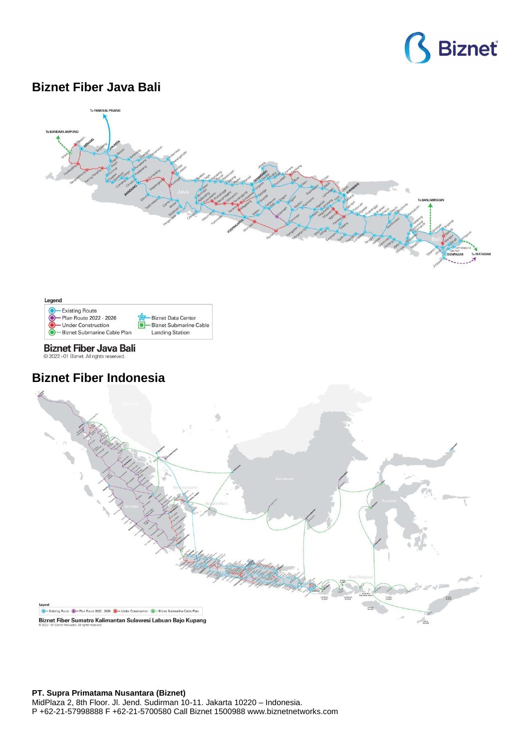

## **Biznet Fiber Java Bali**





**Biznet Fiber Java Bali** @ 2022 - 01 Biznet. All rights reserved.

## **Biznet Fiber Indonesia**